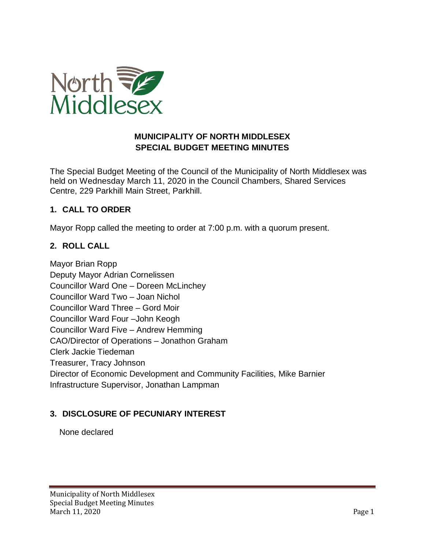

#### **MUNICIPALITY OF NORTH MIDDLESEX SPECIAL BUDGET MEETING MINUTES**

The Special Budget Meeting of the Council of the Municipality of North Middlesex was held on Wednesday March 11, 2020 in the Council Chambers, Shared Services Centre, 229 Parkhill Main Street, Parkhill.

### **1. CALL TO ORDER**

Mayor Ropp called the meeting to order at 7:00 p.m. with a quorum present.

# **2. ROLL CALL**

Mayor Brian Ropp Deputy Mayor Adrian Cornelissen Councillor Ward One – Doreen McLinchey Councillor Ward Two – Joan Nichol Councillor Ward Three – Gord Moir Councillor Ward Four –John Keogh Councillor Ward Five – Andrew Hemming CAO/Director of Operations – Jonathon Graham Clerk Jackie Tiedeman Treasurer, Tracy Johnson Director of Economic Development and Community Facilities, Mike Barnier Infrastructure Supervisor, Jonathan Lampman

# **3. DISCLOSURE OF PECUNIARY INTEREST**

None declared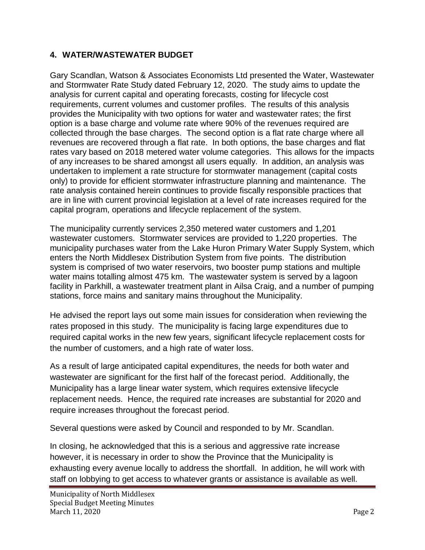### **4. WATER/WASTEWATER BUDGET**

Gary Scandlan, Watson & Associates Economists Ltd presented the Water, Wastewater and Stormwater Rate Study dated February 12, 2020. The study aims to update the analysis for current capital and operating forecasts, costing for lifecycle cost requirements, current volumes and customer profiles. The results of this analysis provides the Municipality with two options for water and wastewater rates; the first option is a base charge and volume rate where 90% of the revenues required are collected through the base charges. The second option is a flat rate charge where all revenues are recovered through a flat rate. In both options, the base charges and flat rates vary based on 2018 metered water volume categories. This allows for the impacts of any increases to be shared amongst all users equally. In addition, an analysis was undertaken to implement a rate structure for stormwater management (capital costs only) to provide for efficient stormwater infrastructure planning and maintenance. The rate analysis contained herein continues to provide fiscally responsible practices that are in line with current provincial legislation at a level of rate increases required for the capital program, operations and lifecycle replacement of the system.

The municipality currently services 2,350 metered water customers and 1,201 wastewater customers. Stormwater services are provided to 1,220 properties. The municipality purchases water from the Lake Huron Primary Water Supply System, which enters the North Middlesex Distribution System from five points. The distribution system is comprised of two water reservoirs, two booster pump stations and multiple water mains totalling almost 475 km. The wastewater system is served by a lagoon facility in Parkhill, a wastewater treatment plant in Ailsa Craig, and a number of pumping stations, force mains and sanitary mains throughout the Municipality.

He advised the report lays out some main issues for consideration when reviewing the rates proposed in this study. The municipality is facing large expenditures due to required capital works in the new few years, significant lifecycle replacement costs for the number of customers, and a high rate of water loss.

As a result of large anticipated capital expenditures, the needs for both water and wastewater are significant for the first half of the forecast period. Additionally, the Municipality has a large linear water system, which requires extensive lifecycle replacement needs. Hence, the required rate increases are substantial for 2020 and require increases throughout the forecast period.

Several questions were asked by Council and responded to by Mr. Scandlan.

In closing, he acknowledged that this is a serious and aggressive rate increase however, it is necessary in order to show the Province that the Municipality is exhausting every avenue locally to address the shortfall. In addition, he will work with staff on lobbying to get access to whatever grants or assistance is available as well.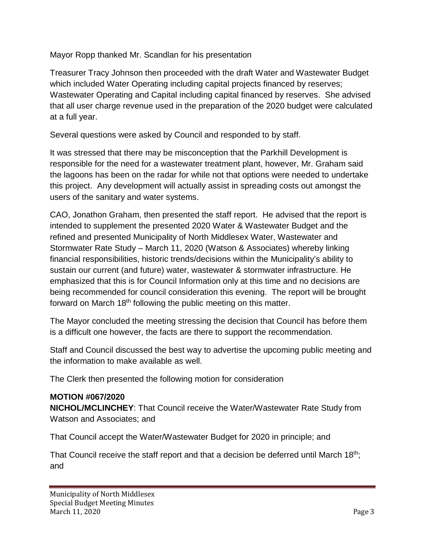Mayor Ropp thanked Mr. Scandlan for his presentation

Treasurer Tracy Johnson then proceeded with the draft Water and Wastewater Budget which included Water Operating including capital projects financed by reserves; Wastewater Operating and Capital including capital financed by reserves. She advised that all user charge revenue used in the preparation of the 2020 budget were calculated at a full year.

Several questions were asked by Council and responded to by staff.

It was stressed that there may be misconception that the Parkhill Development is responsible for the need for a wastewater treatment plant, however, Mr. Graham said the lagoons has been on the radar for while not that options were needed to undertake this project. Any development will actually assist in spreading costs out amongst the users of the sanitary and water systems.

CAO, Jonathon Graham, then presented the staff report. He advised that the report is intended to supplement the presented 2020 Water & Wastewater Budget and the refined and presented Municipality of North Middlesex Water, Wastewater and Stormwater Rate Study – March 11, 2020 (Watson & Associates) whereby linking financial responsibilities, historic trends/decisions within the Municipality's ability to sustain our current (and future) water, wastewater & stormwater infrastructure. He emphasized that this is for Council Information only at this time and no decisions are being recommended for council consideration this evening. The report will be brought forward on March 18<sup>th</sup> following the public meeting on this matter.

The Mayor concluded the meeting stressing the decision that Council has before them is a difficult one however, the facts are there to support the recommendation.

Staff and Council discussed the best way to advertise the upcoming public meeting and the information to make available as well.

The Clerk then presented the following motion for consideration

# **MOTION #067/2020**

**NICHOL/MCLINCHEY**: That Council receive the Water/Wastewater Rate Study from Watson and Associates; and

That Council accept the Water/Wastewater Budget for 2020 in principle; and

That Council receive the staff report and that a decision be deferred until March  $18<sup>th</sup>$ ; and